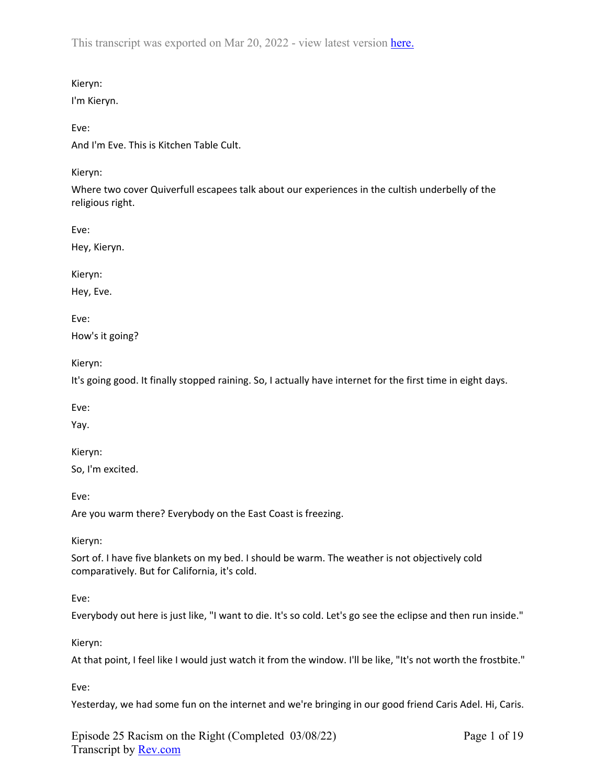## Kieryn:

I'm Kieryn.

## Eve:

And I'm Eve. This is Kitchen Table Cult.

## Kieryn:

Where two cover Quiverfull escapees talk about our experiences in the cultish underbelly of the religious right.

Eve:

Hey, Kieryn.

Kieryn:

Hey, Eve.

Eve:

How's it going?

Kieryn:

It's going good. It finally stopped raining. So, I actually have internet for the first time in eight days.

Eve:

Yay.

Kieryn:

So, I'm excited.

Eve:

Are you warm there? Everybody on the East Coast is freezing.

Kieryn:

Sort of. I have five blankets on my bed. I should be warm. The weather is not objectively cold comparatively. But for California, it's cold.

Eve:

Everybody out here is just like, "I want to die. It's so cold. Let's go see the eclipse and then run inside."

Kieryn:

At that point, I feel like I would just watch it from the window. I'll be like, "It's not worth the frostbite."

Eve:

Yesterday, we had some fun on the internet and we're bringing in our good friend Caris Adel. Hi, Caris.

Episode 25 Racism on the Right (Completed 03/08/22) Transcript by [Rev.com](https://www.rev.com/)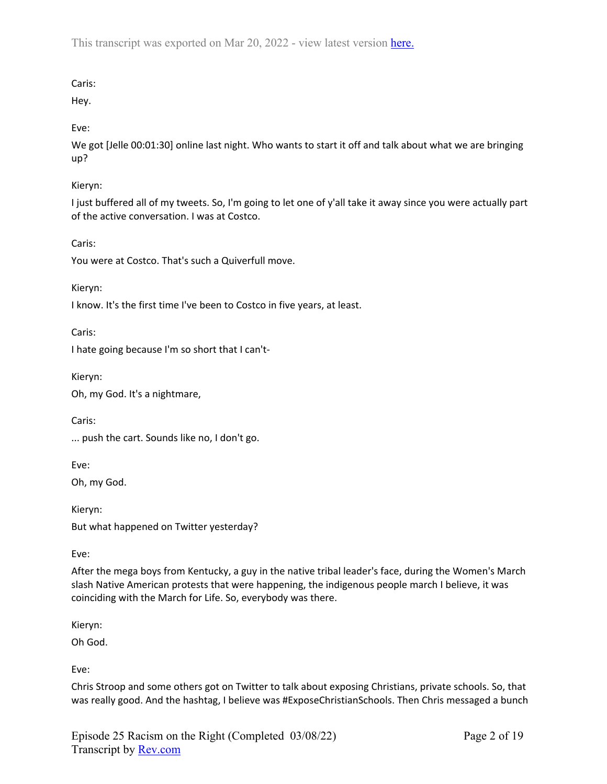# Caris:

Hey.

Eve:

We got [Jelle 00:01:30] online last night. Who wants to start it off and talk about what we are bringing up?

# Kieryn:

I just buffered all of my tweets. So, I'm going to let one of y'all take it away since you were actually part of the active conversation. I was at Costco.

Caris:

You were at Costco. That's such a Quiverfull move.

Kieryn:

I know. It's the first time I've been to Costco in five years, at least.

Caris:

I hate going because I'm so short that I can't-

Kieryn:

Oh, my God. It's a nightmare,

Caris:

... push the cart. Sounds like no, I don't go.

Eve:

Oh, my God.

Kieryn: But what happened on Twitter yesterday?

Eve:

After the mega boys from Kentucky, a guy in the native tribal leader's face, during the Women's March slash Native American protests that were happening, the indigenous people march I believe, it was coinciding with the March for Life. So, everybody was there.

Kieryn:

Oh God.

Eve:

Chris Stroop and some others got on Twitter to talk about exposing Christians, private schools. So, that was really good. And the hashtag, I believe was #ExposeChristianSchools. Then Chris messaged a bunch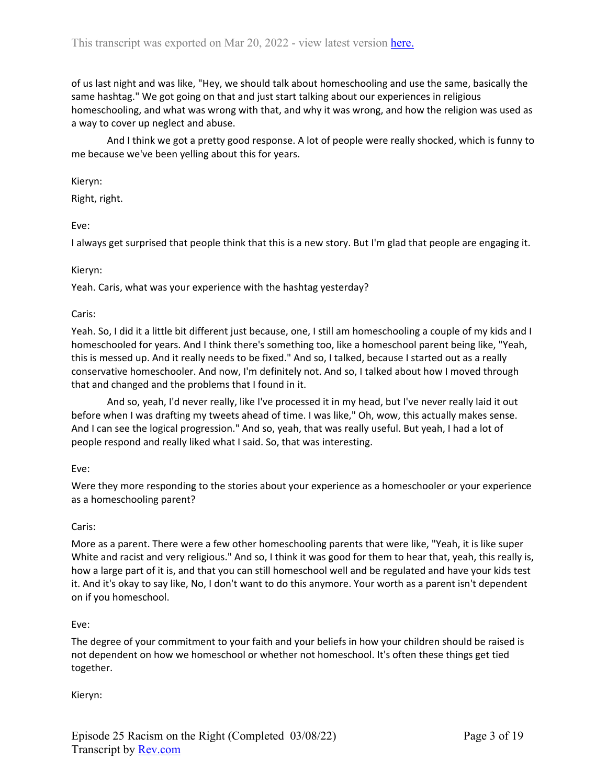of us last night and was like, "Hey, we should talk about homeschooling and use the same, basically the same hashtag." We got going on that and just start talking about our experiences in religious homeschooling, and what was wrong with that, and why it was wrong, and how the religion was used as a way to cover up neglect and abuse.

And I think we got a pretty good response. A lot of people were really shocked, which is funny to me because we've been yelling about this for years.

Kieryn:

Right, right.

Eve:

I always get surprised that people think that this is a new story. But I'm glad that people are engaging it.

### Kieryn:

Yeah. Caris, what was your experience with the hashtag yesterday?

### Caris:

Yeah. So, I did it a little bit different just because, one, I still am homeschooling a couple of my kids and I homeschooled for years. And I think there's something too, like a homeschool parent being like, "Yeah, this is messed up. And it really needs to be fixed." And so, I talked, because I started out as a really conservative homeschooler. And now, I'm definitely not. And so, I talked about how I moved through that and changed and the problems that I found in it.

And so, yeah, I'd never really, like I've processed it in my head, but I've never really laid it out before when I was drafting my tweets ahead of time. I was like," Oh, wow, this actually makes sense. And I can see the logical progression." And so, yeah, that was really useful. But yeah, I had a lot of people respond and really liked what I said. So, that was interesting.

### Eve:

Were they more responding to the stories about your experience as a homeschooler or your experience as a homeschooling parent?

### Caris:

More as a parent. There were a few other homeschooling parents that were like, "Yeah, it is like super White and racist and very religious." And so, I think it was good for them to hear that, yeah, this really is, how a large part of it is, and that you can still homeschool well and be regulated and have your kids test it. And it's okay to say like, No, I don't want to do this anymore. Your worth as a parent isn't dependent on if you homeschool.

### Eve:

The degree of your commitment to your faith and your beliefs in how your children should be raised is not dependent on how we homeschool or whether not homeschool. It's often these things get tied together.

Kieryn: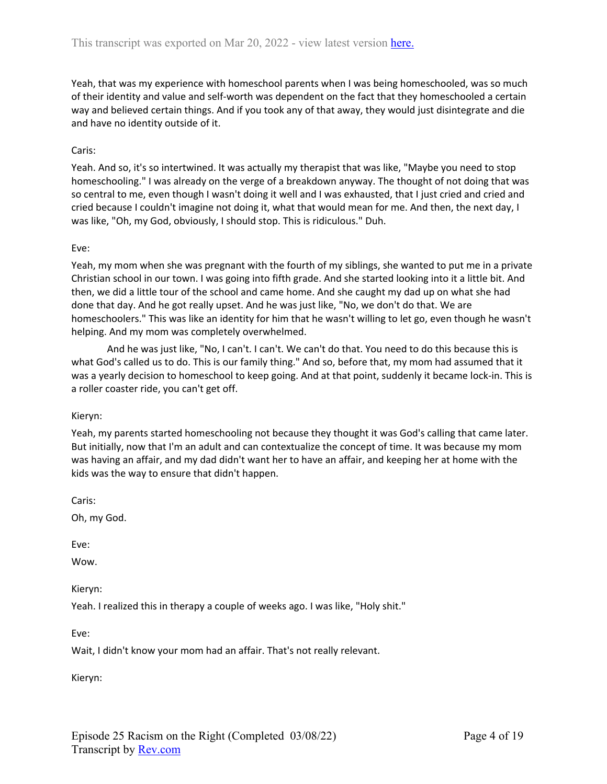Yeah, that was my experience with homeschool parents when I was being homeschooled, was so much of their identity and value and self-worth was dependent on the fact that they homeschooled a certain way and believed certain things. And if you took any of that away, they would just disintegrate and die and have no identity outside of it.

### Caris:

Yeah. And so, it's so intertwined. It was actually my therapist that was like, "Maybe you need to stop homeschooling." I was already on the verge of a breakdown anyway. The thought of not doing that was so central to me, even though I wasn't doing it well and I was exhausted, that I just cried and cried and cried because I couldn't imagine not doing it, what that would mean for me. And then, the next day, I was like, "Oh, my God, obviously, I should stop. This is ridiculous." Duh.

### Eve:

Yeah, my mom when she was pregnant with the fourth of my siblings, she wanted to put me in a private Christian school in our town. I was going into fifth grade. And she started looking into it a little bit. And then, we did a little tour of the school and came home. And she caught my dad up on what she had done that day. And he got really upset. And he was just like, "No, we don't do that. We are homeschoolers." This was like an identity for him that he wasn't willing to let go, even though he wasn't helping. And my mom was completely overwhelmed.

And he was just like, "No, I can't. I can't. We can't do that. You need to do this because this is what God's called us to do. This is our family thing." And so, before that, my mom had assumed that it was a yearly decision to homeschool to keep going. And at that point, suddenly it became lock-in. This is a roller coaster ride, you can't get off.

### Kieryn:

Yeah, my parents started homeschooling not because they thought it was God's calling that came later. But initially, now that I'm an adult and can contextualize the concept of time. It was because my mom was having an affair, and my dad didn't want her to have an affair, and keeping her at home with the kids was the way to ensure that didn't happen.

Caris:

Oh, my God.

Eve:

Wow.

Kieryn:

Yeah. I realized this in therapy a couple of weeks ago. I was like, "Holy shit."

Eve:

Wait, I didn't know your mom had an affair. That's not really relevant.

Kieryn: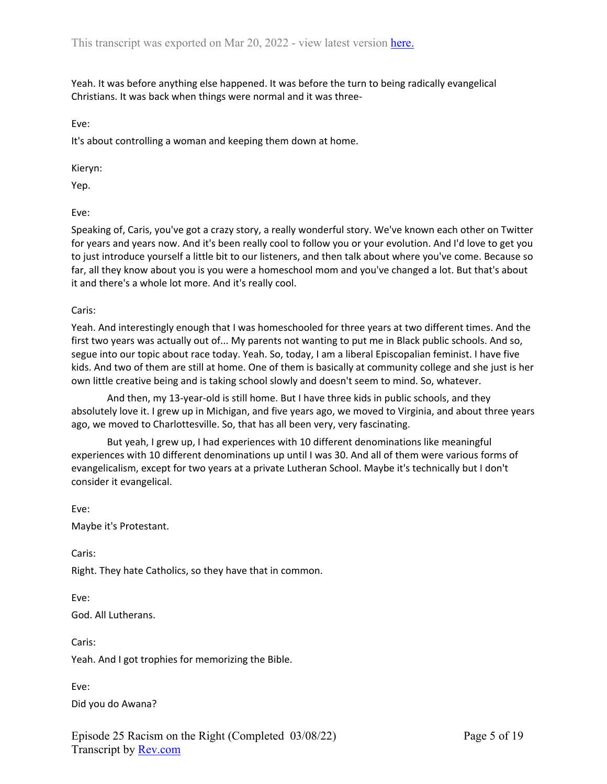Yeah. It was before anything else happened. It was before the turn to being radically evangelical Christians. It was back when things were normal and it was three-

Eve:

It's about controlling a woman and keeping them down at home.

Kieryn:

Yep.

Eve:

Speaking of, Caris, you've got a crazy story, a really wonderful story. We've known each other on Twitter for years and years now. And it's been really cool to follow you or your evolution. And I'd love to get you to just introduce yourself a little bit to our listeners, and then talk about where you've come. Because so far, all they know about you is you were a homeschool mom and you've changed a lot. But that's about it and there's a whole lot more. And it's really cool.

Caris:

Yeah. And interestingly enough that I was homeschooled for three years at two different times. And the first two years was actually out of... My parents not wanting to put me in Black public schools. And so, segue into our topic about race today. Yeah. So, today, I am a liberal Episcopalian feminist. I have five kids. And two of them are still at home. One of them is basically at community college and she just is her own little creative being and is taking school slowly and doesn't seem to mind. So, whatever.

And then, my 13-year-old is still home. But I have three kids in public schools, and they absolutely love it. I grew up in Michigan, and five years ago, we moved to Virginia, and about three years ago, we moved to Charlottesville. So, that has all been very, very fascinating.

But yeah, I grew up, I had experiences with 10 different denominations like meaningful experiences with 10 different denominations up until I was 30. And all of them were various forms of evangelicalism, except for two years at a private Lutheran School. Maybe it's technically but I don't consider it evangelical.

Eve: Maybe it's Protestant.

Caris:

Right. They hate Catholics, so they have that in common.

Eve: God. All Lutherans.

Caris: Yeah. And I got trophies for memorizing the Bible.

Eve:

Did you do Awana?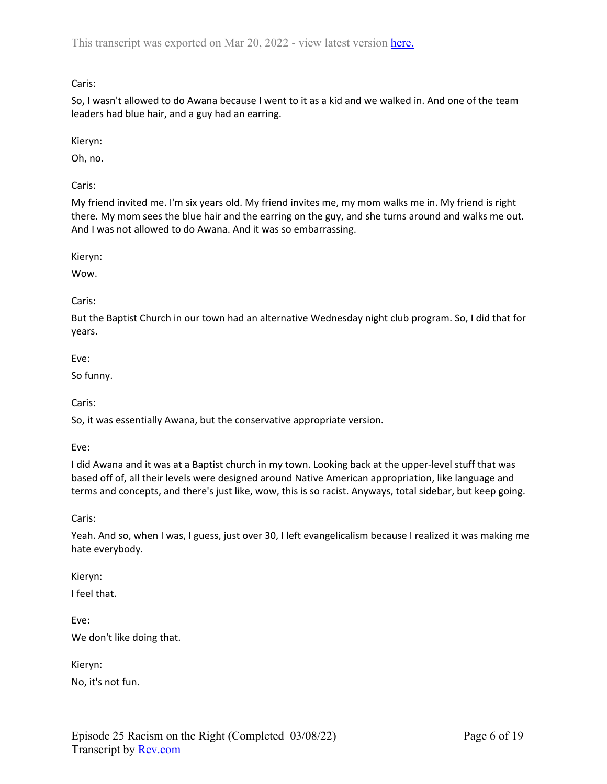So, I wasn't allowed to do Awana because I went to it as a kid and we walked in. And one of the team leaders had blue hair, and a guy had an earring.

Kieryn:

Oh, no.

Caris:

My friend invited me. I'm six years old. My friend invites me, my mom walks me in. My friend is right there. My mom sees the blue hair and the earring on the guy, and she turns around and walks me out. And I was not allowed to do Awana. And it was so embarrassing.

Kieryn:

Wow.

## Caris:

But the Baptist Church in our town had an alternative Wednesday night club program. So, I did that for years.

Eve:

So funny.

Caris:

So, it was essentially Awana, but the conservative appropriate version.

Eve:

I did Awana and it was at a Baptist church in my town. Looking back at the upper-level stuff that was based off of, all their levels were designed around Native American appropriation, like language and terms and concepts, and there's just like, wow, this is so racist. Anyways, total sidebar, but keep going.

Caris:

Yeah. And so, when I was, I guess, just over 30, I left evangelicalism because I realized it was making me hate everybody.

Kieryn:

I feel that.

Eve: We don't like doing that.

Kieryn:

No, it's not fun.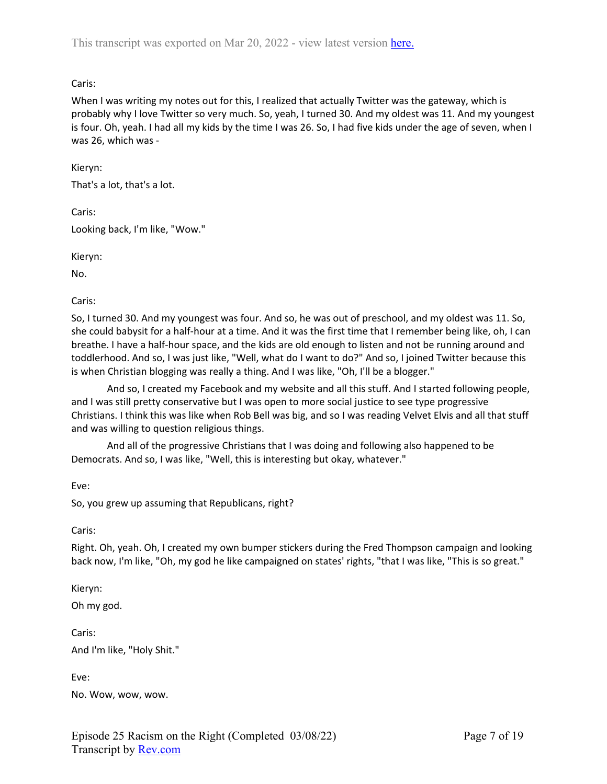When I was writing my notes out for this, I realized that actually Twitter was the gateway, which is probably why I love Twitter so very much. So, yeah, I turned 30. And my oldest was 11. And my youngest is four. Oh, yeah. I had all my kids by the time I was 26. So, I had five kids under the age of seven, when I was 26, which was -

Kieryn:

That's a lot, that's a lot.

Caris:

Looking back, I'm like, "Wow."

Kieryn:

No.

Caris:

So, I turned 30. And my youngest was four. And so, he was out of preschool, and my oldest was 11. So, she could babysit for a half-hour at a time. And it was the first time that I remember being like, oh, I can breathe. I have a half-hour space, and the kids are old enough to listen and not be running around and toddlerhood. And so, I was just like, "Well, what do I want to do?" And so, I joined Twitter because this is when Christian blogging was really a thing. And I was like, "Oh, I'll be a blogger."

And so, I created my Facebook and my website and all this stuff. And I started following people, and I was still pretty conservative but I was open to more social justice to see type progressive Christians. I think this was like when Rob Bell was big, and so I was reading Velvet Elvis and all that stuff and was willing to question religious things.

And all of the progressive Christians that I was doing and following also happened to be Democrats. And so, I was like, "Well, this is interesting but okay, whatever."

Eve:

So, you grew up assuming that Republicans, right?

Caris:

Right. Oh, yeah. Oh, I created my own bumper stickers during the Fred Thompson campaign and looking back now, I'm like, "Oh, my god he like campaigned on states' rights, "that I was like, "This is so great."

Kieryn:

Oh my god.

Caris: And I'm like, "Holy Shit."

Eve:

No. Wow, wow, wow.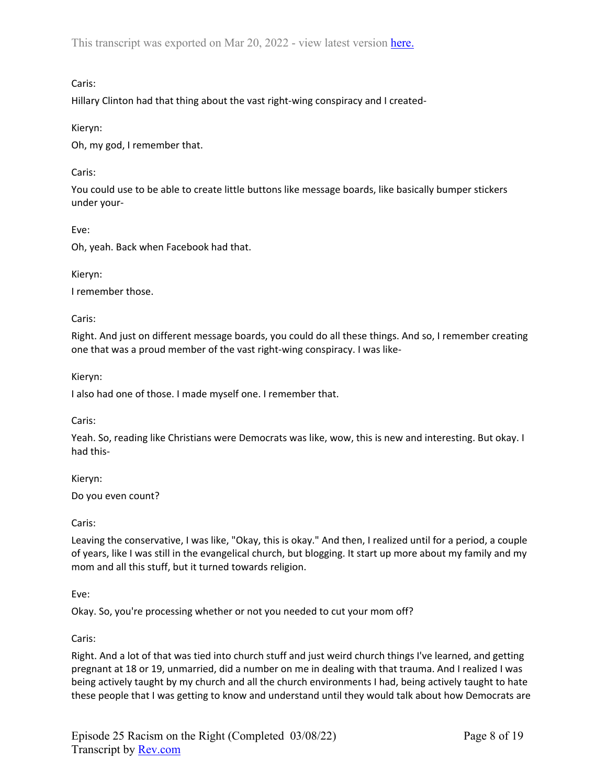# Caris:

Hillary Clinton had that thing about the vast right-wing conspiracy and I created-

Kieryn:

Oh, my god, I remember that.

## Caris:

You could use to be able to create little buttons like message boards, like basically bumper stickers under your-

Eve:

Oh, yeah. Back when Facebook had that.

Kieryn:

I remember those.

Caris:

Right. And just on different message boards, you could do all these things. And so, I remember creating one that was a proud member of the vast right-wing conspiracy. I was like-

Kieryn:

I also had one of those. I made myself one. I remember that.

Caris:

Yeah. So, reading like Christians were Democrats was like, wow, this is new and interesting. But okay. I had this-

Kieryn:

Do you even count?

Caris:

Leaving the conservative, I was like, "Okay, this is okay." And then, I realized until for a period, a couple of years, like I was still in the evangelical church, but blogging. It start up more about my family and my mom and all this stuff, but it turned towards religion.

Eve:

Okay. So, you're processing whether or not you needed to cut your mom off?

Caris:

Right. And a lot of that was tied into church stuff and just weird church things I've learned, and getting pregnant at 18 or 19, unmarried, did a number on me in dealing with that trauma. And I realized I was being actively taught by my church and all the church environments I had, being actively taught to hate these people that I was getting to know and understand until they would talk about how Democrats are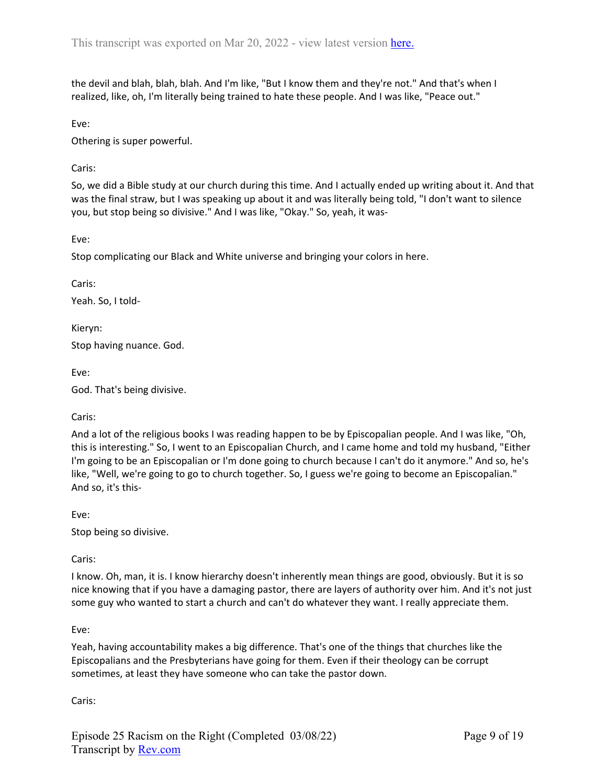the devil and blah, blah, blah. And I'm like, "But I know them and they're not." And that's when I realized, like, oh, I'm literally being trained to hate these people. And I was like, "Peace out."

Eve:

Othering is super powerful.

Caris:

So, we did a Bible study at our church during this time. And I actually ended up writing about it. And that was the final straw, but I was speaking up about it and was literally being told, "I don't want to silence you, but stop being so divisive." And I was like, "Okay." So, yeah, it was-

Eve:

Stop complicating our Black and White universe and bringing your colors in here.

Caris:

Yeah. So, I told-

Kieryn:

Stop having nuance. God.

Eve:

God. That's being divisive.

Caris:

And a lot of the religious books I was reading happen to be by Episcopalian people. And I was like, "Oh, this is interesting." So, I went to an Episcopalian Church, and I came home and told my husband, "Either I'm going to be an Episcopalian or I'm done going to church because I can't do it anymore." And so, he's like, "Well, we're going to go to church together. So, I guess we're going to become an Episcopalian." And so, it's this-

Eve:

Stop being so divisive.

Caris:

I know. Oh, man, it is. I know hierarchy doesn't inherently mean things are good, obviously. But it is so nice knowing that if you have a damaging pastor, there are layers of authority over him. And it's not just some guy who wanted to start a church and can't do whatever they want. I really appreciate them.

Eve:

Yeah, having accountability makes a big difference. That's one of the things that churches like the Episcopalians and the Presbyterians have going for them. Even if their theology can be corrupt sometimes, at least they have someone who can take the pastor down.

Caris: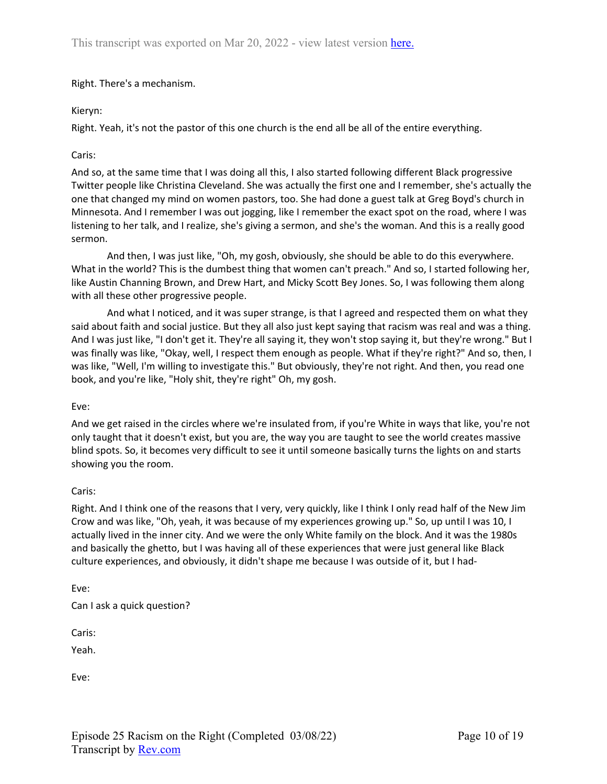Right. There's a mechanism.

## Kieryn:

Right. Yeah, it's not the pastor of this one church is the end all be all of the entire everything.

### Caris:

And so, at the same time that I was doing all this, I also started following different Black progressive Twitter people like Christina Cleveland. She was actually the first one and I remember, she's actually the one that changed my mind on women pastors, too. She had done a guest talk at Greg Boyd's church in Minnesota. And I remember I was out jogging, like I remember the exact spot on the road, where I was listening to her talk, and I realize, she's giving a sermon, and she's the woman. And this is a really good sermon.

And then, I was just like, "Oh, my gosh, obviously, she should be able to do this everywhere. What in the world? This is the dumbest thing that women can't preach." And so, I started following her, like Austin Channing Brown, and Drew Hart, and Micky Scott Bey Jones. So, I was following them along with all these other progressive people.

And what I noticed, and it was super strange, is that I agreed and respected them on what they said about faith and social justice. But they all also just kept saying that racism was real and was a thing. And I was just like, "I don't get it. They're all saying it, they won't stop saying it, but they're wrong." But I was finally was like, "Okay, well, I respect them enough as people. What if they're right?" And so, then, I was like, "Well, I'm willing to investigate this." But obviously, they're not right. And then, you read one book, and you're like, "Holy shit, they're right" Oh, my gosh.

### Eve:

And we get raised in the circles where we're insulated from, if you're White in ways that like, you're not only taught that it doesn't exist, but you are, the way you are taught to see the world creates massive blind spots. So, it becomes very difficult to see it until someone basically turns the lights on and starts showing you the room.

## Caris:

Right. And I think one of the reasons that I very, very quickly, like I think I only read half of the New Jim Crow and was like, "Oh, yeah, it was because of my experiences growing up." So, up until I was 10, I actually lived in the inner city. And we were the only White family on the block. And it was the 1980s and basically the ghetto, but I was having all of these experiences that were just general like Black culture experiences, and obviously, it didn't shape me because I was outside of it, but I had-

Eve:

Can I ask a quick question?

Caris:

Yeah.

Eve: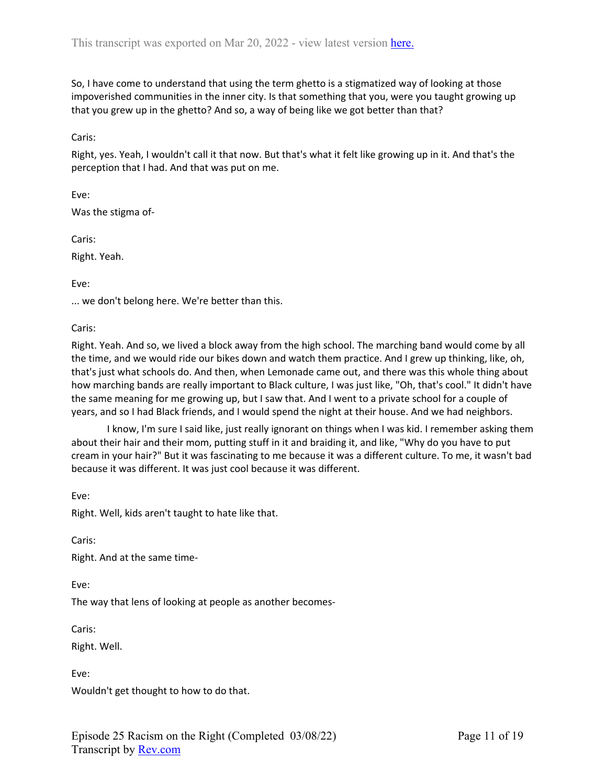So, I have come to understand that using the term ghetto is a stigmatized way of looking at those impoverished communities in the inner city. Is that something that you, were you taught growing up that you grew up in the ghetto? And so, a way of being like we got better than that?

Caris:

Right, yes. Yeah, I wouldn't call it that now. But that's what it felt like growing up in it. And that's the perception that I had. And that was put on me.

Eve: Was the stigma of-

Caris:

Right. Yeah.

Eve:

... we don't belong here. We're better than this.

Caris:

Right. Yeah. And so, we lived a block away from the high school. The marching band would come by all the time, and we would ride our bikes down and watch them practice. And I grew up thinking, like, oh, that's just what schools do. And then, when Lemonade came out, and there was this whole thing about how marching bands are really important to Black culture, I was just like, "Oh, that's cool." It didn't have the same meaning for me growing up, but I saw that. And I went to a private school for a couple of years, and so I had Black friends, and I would spend the night at their house. And we had neighbors.

I know, I'm sure I said like, just really ignorant on things when I was kid. I remember asking them about their hair and their mom, putting stuff in it and braiding it, and like, "Why do you have to put cream in your hair?" But it was fascinating to me because it was a different culture. To me, it wasn't bad because it was different. It was just cool because it was different.

Eve:

Right. Well, kids aren't taught to hate like that.

Caris:

Right. And at the same time-

Eve:

The way that lens of looking at people as another becomes-

Caris:

Right. Well.

Eve:

Wouldn't get thought to how to do that.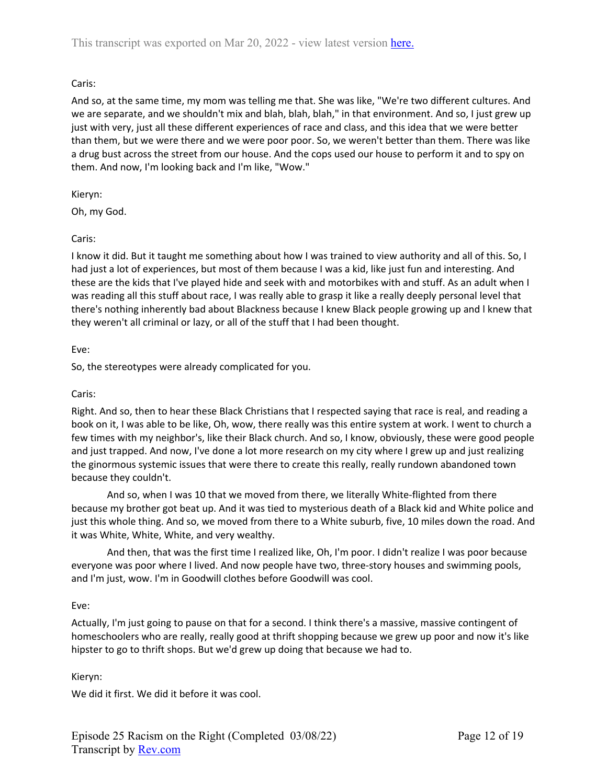And so, at the same time, my mom was telling me that. She was like, "We're two different cultures. And we are separate, and we shouldn't mix and blah, blah, blah," in that environment. And so, I just grew up just with very, just all these different experiences of race and class, and this idea that we were better than them, but we were there and we were poor poor. So, we weren't better than them. There was like a drug bust across the street from our house. And the cops used our house to perform it and to spy on them. And now, I'm looking back and I'm like, "Wow."

Kieryn:

Oh, my God.

Caris:

I know it did. But it taught me something about how I was trained to view authority and all of this. So, I had just a lot of experiences, but most of them because I was a kid, like just fun and interesting. And these are the kids that I've played hide and seek with and motorbikes with and stuff. As an adult when I was reading all this stuff about race, I was really able to grasp it like a really deeply personal level that there's nothing inherently bad about Blackness because I knew Black people growing up and l knew that they weren't all criminal or lazy, or all of the stuff that I had been thought.

# Eve:

So, the stereotypes were already complicated for you.

## Caris:

Right. And so, then to hear these Black Christians that I respected saying that race is real, and reading a book on it, I was able to be like, Oh, wow, there really was this entire system at work. I went to church a few times with my neighbor's, like their Black church. And so, I know, obviously, these were good people and just trapped. And now, I've done a lot more research on my city where I grew up and just realizing the ginormous systemic issues that were there to create this really, really rundown abandoned town because they couldn't.

And so, when I was 10 that we moved from there, we literally White-flighted from there because my brother got beat up. And it was tied to mysterious death of a Black kid and White police and just this whole thing. And so, we moved from there to a White suburb, five, 10 miles down the road. And it was White, White, White, and very wealthy.

And then, that was the first time I realized like, Oh, I'm poor. I didn't realize I was poor because everyone was poor where I lived. And now people have two, three-story houses and swimming pools, and I'm just, wow. I'm in Goodwill clothes before Goodwill was cool.

## Eve:

Actually, I'm just going to pause on that for a second. I think there's a massive, massive contingent of homeschoolers who are really, really good at thrift shopping because we grew up poor and now it's like hipster to go to thrift shops. But we'd grew up doing that because we had to.

## Kieryn:

We did it first. We did it before it was cool.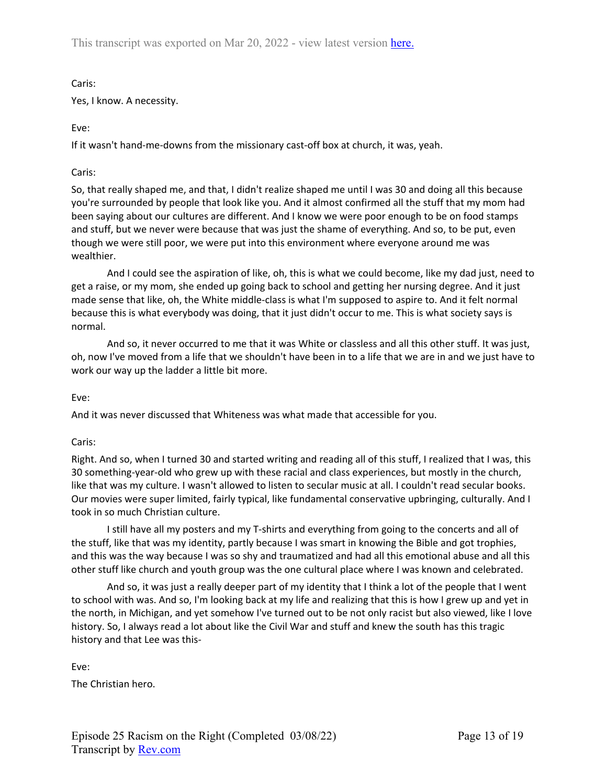Caris:

Yes, I know. A necessity.

# Eve:

If it wasn't hand-me-downs from the missionary cast-off box at church, it was, yeah.

# Caris:

So, that really shaped me, and that, I didn't realize shaped me until I was 30 and doing all this because you're surrounded by people that look like you. And it almost confirmed all the stuff that my mom had been saying about our cultures are different. And I know we were poor enough to be on food stamps and stuff, but we never were because that was just the shame of everything. And so, to be put, even though we were still poor, we were put into this environment where everyone around me was wealthier.

And I could see the aspiration of like, oh, this is what we could become, like my dad just, need to get a raise, or my mom, she ended up going back to school and getting her nursing degree. And it just made sense that like, oh, the White middle-class is what I'm supposed to aspire to. And it felt normal because this is what everybody was doing, that it just didn't occur to me. This is what society says is normal.

And so, it never occurred to me that it was White or classless and all this other stuff. It was just, oh, now I've moved from a life that we shouldn't have been in to a life that we are in and we just have to work our way up the ladder a little bit more.

## Eve:

And it was never discussed that Whiteness was what made that accessible for you.

## Caris:

Right. And so, when I turned 30 and started writing and reading all of this stuff, I realized that I was, this 30 something-year-old who grew up with these racial and class experiences, but mostly in the church, like that was my culture. I wasn't allowed to listen to secular music at all. I couldn't read secular books. Our movies were super limited, fairly typical, like fundamental conservative upbringing, culturally. And I took in so much Christian culture.

I still have all my posters and my T-shirts and everything from going to the concerts and all of the stuff, like that was my identity, partly because I was smart in knowing the Bible and got trophies, and this was the way because I was so shy and traumatized and had all this emotional abuse and all this other stuff like church and youth group was the one cultural place where I was known and celebrated.

And so, it was just a really deeper part of my identity that I think a lot of the people that I went to school with was. And so, I'm looking back at my life and realizing that this is how I grew up and yet in the north, in Michigan, and yet somehow I've turned out to be not only racist but also viewed, like I love history. So, I always read a lot about like the Civil War and stuff and knew the south has this tragic history and that Lee was this-

Eve:

The Christian hero.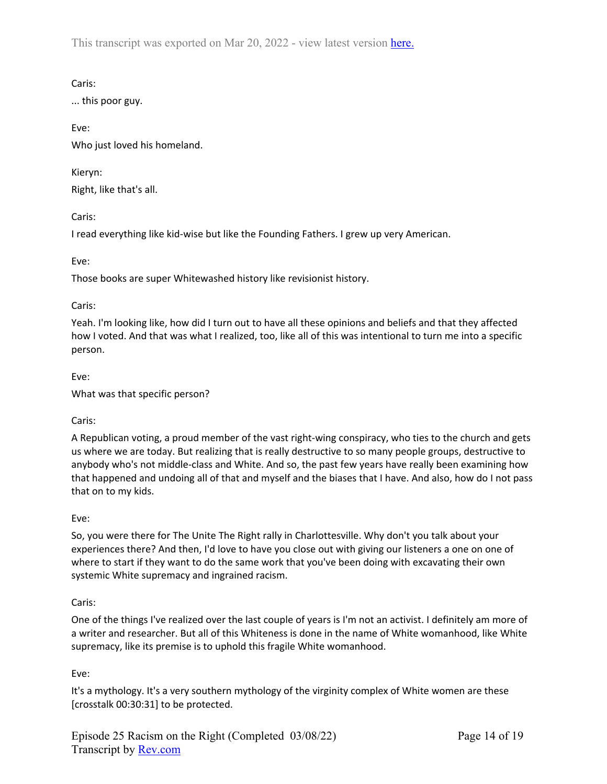Caris:

... this poor guy.

Eve: Who just loved his homeland.

Kieryn: Right, like that's all.

Caris:

I read everything like kid-wise but like the Founding Fathers. I grew up very American.

Eve:

Those books are super Whitewashed history like revisionist history.

### Caris:

Yeah. I'm looking like, how did I turn out to have all these opinions and beliefs and that they affected how I voted. And that was what I realized, too, like all of this was intentional to turn me into a specific person.

Eve:

What was that specific person?

## Caris:

A Republican voting, a proud member of the vast right-wing conspiracy, who ties to the church and gets us where we are today. But realizing that is really destructive to so many people groups, destructive to anybody who's not middle-class and White. And so, the past few years have really been examining how that happened and undoing all of that and myself and the biases that I have. And also, how do I not pass that on to my kids.

## Eve:

So, you were there for The Unite The Right rally in Charlottesville. Why don't you talk about your experiences there? And then, I'd love to have you close out with giving our listeners a one on one of where to start if they want to do the same work that you've been doing with excavating their own systemic White supremacy and ingrained racism.

## Caris:

One of the things I've realized over the last couple of years is I'm not an activist. I definitely am more of a writer and researcher. But all of this Whiteness is done in the name of White womanhood, like White supremacy, like its premise is to uphold this fragile White womanhood.

Eve:

It's a mythology. It's a very southern mythology of the virginity complex of White women are these [crosstalk 00:30:31] to be protected.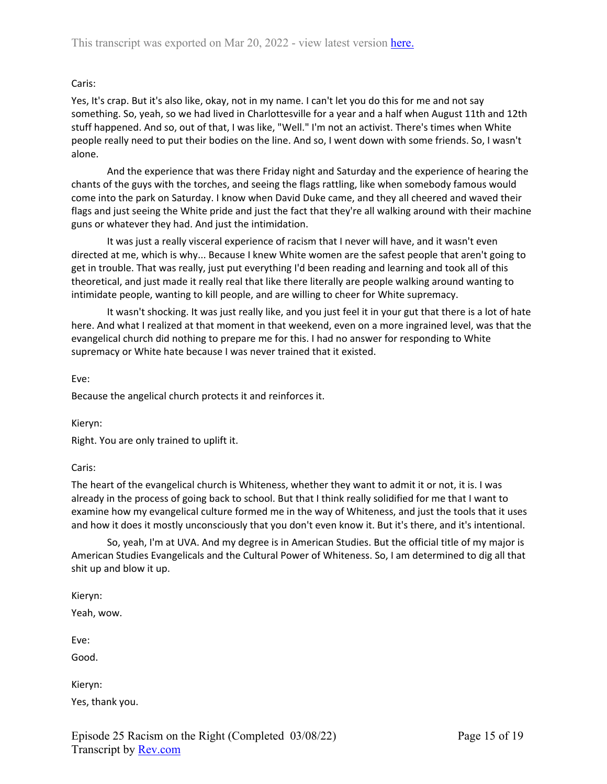Yes, It's crap. But it's also like, okay, not in my name. I can't let you do this for me and not say something. So, yeah, so we had lived in Charlottesville for a year and a half when August 11th and 12th stuff happened. And so, out of that, I was like, "Well." I'm not an activist. There's times when White people really need to put their bodies on the line. And so, I went down with some friends. So, I wasn't alone.

And the experience that was there Friday night and Saturday and the experience of hearing the chants of the guys with the torches, and seeing the flags rattling, like when somebody famous would come into the park on Saturday. I know when David Duke came, and they all cheered and waved their flags and just seeing the White pride and just the fact that they're all walking around with their machine guns or whatever they had. And just the intimidation.

It was just a really visceral experience of racism that I never will have, and it wasn't even directed at me, which is why... Because I knew White women are the safest people that aren't going to get in trouble. That was really, just put everything I'd been reading and learning and took all of this theoretical, and just made it really real that like there literally are people walking around wanting to intimidate people, wanting to kill people, and are willing to cheer for White supremacy.

It wasn't shocking. It was just really like, and you just feel it in your gut that there is a lot of hate here. And what I realized at that moment in that weekend, even on a more ingrained level, was that the evangelical church did nothing to prepare me for this. I had no answer for responding to White supremacy or White hate because I was never trained that it existed.

Eve:

Because the angelical church protects it and reinforces it.

Kieryn:

Right. You are only trained to uplift it.

### Caris:

The heart of the evangelical church is Whiteness, whether they want to admit it or not, it is. I was already in the process of going back to school. But that I think really solidified for me that I want to examine how my evangelical culture formed me in the way of Whiteness, and just the tools that it uses and how it does it mostly unconsciously that you don't even know it. But it's there, and it's intentional.

So, yeah, I'm at UVA. And my degree is in American Studies. But the official title of my major is American Studies Evangelicals and the Cultural Power of Whiteness. So, I am determined to dig all that shit up and blow it up.

Kieryn: Yeah, wow. Eve: Good. Kieryn: Yes, thank you.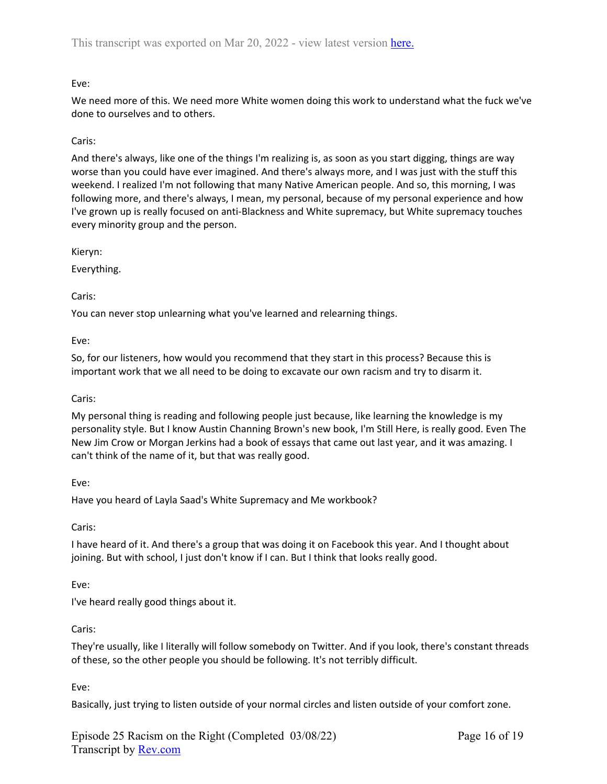# Eve:

We need more of this. We need more White women doing this work to understand what the fuck we've done to ourselves and to others.

# Caris:

And there's always, like one of the things I'm realizing is, as soon as you start digging, things are way worse than you could have ever imagined. And there's always more, and I was just with the stuff this weekend. I realized I'm not following that many Native American people. And so, this morning, I was following more, and there's always, I mean, my personal, because of my personal experience and how I've grown up is really focused on anti-Blackness and White supremacy, but White supremacy touches every minority group and the person.

Kieryn:

Everything.

Caris:

You can never stop unlearning what you've learned and relearning things.

Eve:

So, for our listeners, how would you recommend that they start in this process? Because this is important work that we all need to be doing to excavate our own racism and try to disarm it.

## Caris:

My personal thing is reading and following people just because, like learning the knowledge is my personality style. But I know Austin Channing Brown's new book, I'm Still Here, is really good. Even The New Jim Crow or Morgan Jerkins had a book of essays that came out last year, and it was amazing. I can't think of the name of it, but that was really good.

Eve:

Have you heard of Layla Saad's White Supremacy and Me workbook?

Caris:

I have heard of it. And there's a group that was doing it on Facebook this year. And I thought about joining. But with school, I just don't know if I can. But I think that looks really good.

## Eve:

I've heard really good things about it.

### Caris:

They're usually, like I literally will follow somebody on Twitter. And if you look, there's constant threads of these, so the other people you should be following. It's not terribly difficult.

Eve:

Basically, just trying to listen outside of your normal circles and listen outside of your comfort zone.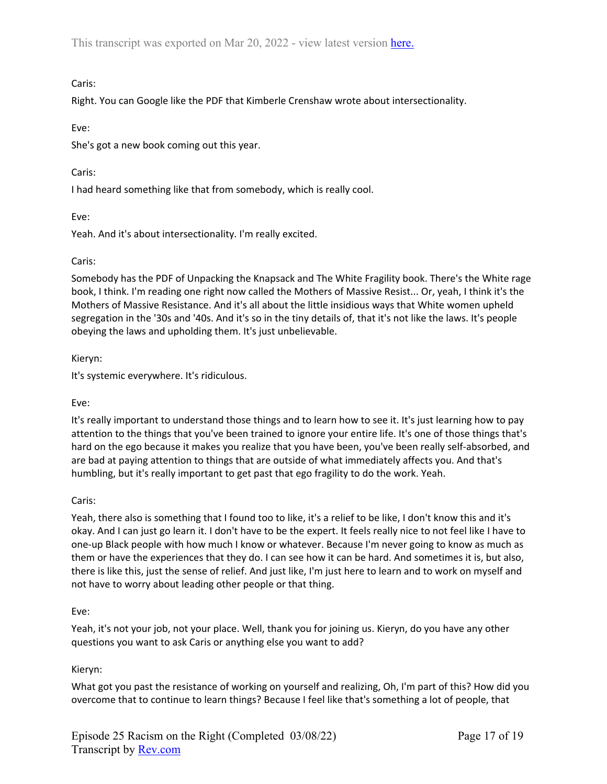Right. You can Google like the PDF that Kimberle Crenshaw wrote about intersectionality.

## Eve:

She's got a new book coming out this year.

# Caris:

I had heard something like that from somebody, which is really cool.

# Eve:

Yeah. And it's about intersectionality. I'm really excited.

# Caris:

Somebody has the PDF of Unpacking the Knapsack and The White Fragility book. There's the White rage book, I think. I'm reading one right now called the Mothers of Massive Resist... Or, yeah, I think it's the Mothers of Massive Resistance. And it's all about the little insidious ways that White women upheld segregation in the '30s and '40s. And it's so in the tiny details of, that it's not like the laws. It's people obeying the laws and upholding them. It's just unbelievable.

Kieryn:

It's systemic everywhere. It's ridiculous.

## Eve:

It's really important to understand those things and to learn how to see it. It's just learning how to pay attention to the things that you've been trained to ignore your entire life. It's one of those things that's hard on the ego because it makes you realize that you have been, you've been really self-absorbed, and are bad at paying attention to things that are outside of what immediately affects you. And that's humbling, but it's really important to get past that ego fragility to do the work. Yeah.

## Caris:

Yeah, there also is something that I found too to like, it's a relief to be like, I don't know this and it's okay. And I can just go learn it. I don't have to be the expert. It feels really nice to not feel like I have to one-up Black people with how much I know or whatever. Because I'm never going to know as much as them or have the experiences that they do. I can see how it can be hard. And sometimes it is, but also, there is like this, just the sense of relief. And just like, I'm just here to learn and to work on myself and not have to worry about leading other people or that thing.

## Eve:

Yeah, it's not your job, not your place. Well, thank you for joining us. Kieryn, do you have any other questions you want to ask Caris or anything else you want to add?

# Kieryn:

What got you past the resistance of working on yourself and realizing, Oh, I'm part of this? How did you overcome that to continue to learn things? Because I feel like that's something a lot of people, that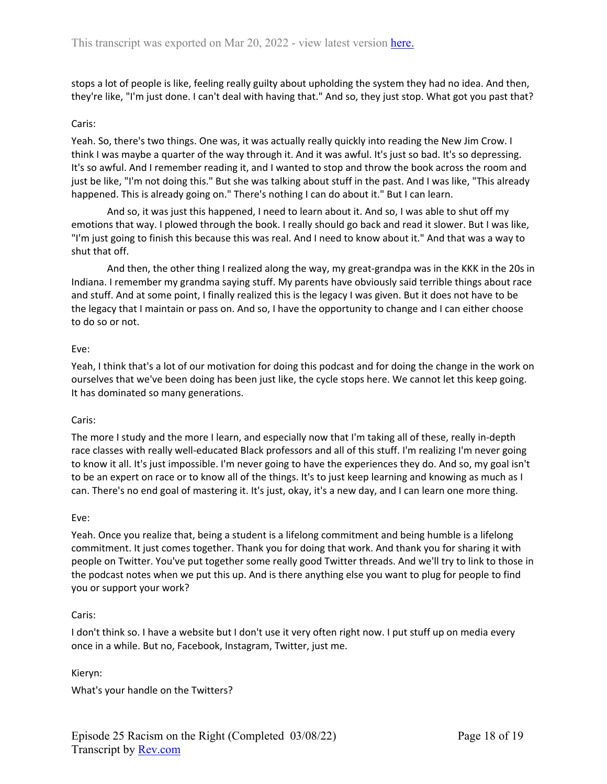stops a lot of people is like, feeling really guilty about upholding the system they had no idea. And then, they're like, "I'm just done. I can't deal with having that." And so, they just stop. What got you past that?

### Caris:

Yeah. So, there's two things. One was, it was actually really quickly into reading the New Jim Crow. I think I was maybe a quarter of the way through it. And it was awful. It's just so bad. It's so depressing. It's so awful. And I remember reading it, and I wanted to stop and throw the book across the room and just be like, "I'm not doing this." But she was talking about stuff in the past. And I was like, "This already happened. This is already going on." There's nothing I can do about it." But I can learn.

And so, it was just this happened, I need to learn about it. And so, I was able to shut off my emotions that way. I plowed through the book. I really should go back and read it slower. But I was like, "I'm just going to finish this because this was real. And I need to know about it." And that was a way to shut that off.

And then, the other thing I realized along the way, my great-grandpa was in the KKK in the 20s in Indiana. I remember my grandma saying stuff. My parents have obviously said terrible things about race and stuff. And at some point, I finally realized this is the legacy I was given. But it does not have to be the legacy that I maintain or pass on. And so, I have the opportunity to change and I can either choose to do so or not.

### Eve:

Yeah, I think that's a lot of our motivation for doing this podcast and for doing the change in the work on ourselves that we've been doing has been just like, the cycle stops here. We cannot let this keep going. It has dominated so many generations.

### Caris:

The more I study and the more I learn, and especially now that I'm taking all of these, really in-depth race classes with really well-educated Black professors and all of this stuff. I'm realizing I'm never going to know it all. It's just impossible. I'm never going to have the experiences they do. And so, my goal isn't to be an expert on race or to know all of the things. It's to just keep learning and knowing as much as I can. There's no end goal of mastering it. It's just, okay, it's a new day, and I can learn one more thing.

### Eve:

Yeah. Once you realize that, being a student is a lifelong commitment and being humble is a lifelong commitment. It just comes together. Thank you for doing that work. And thank you for sharing it with people on Twitter. You've put together some really good Twitter threads. And we'll try to link to those in the podcast notes when we put this up. And is there anything else you want to plug for people to find you or support your work?

### Caris:

I don't think so. I have a website but I don't use it very often right now. I put stuff up on media every once in a while. But no, Facebook, Instagram, Twitter, just me.

Kieryn:

What's your handle on the Twitters?